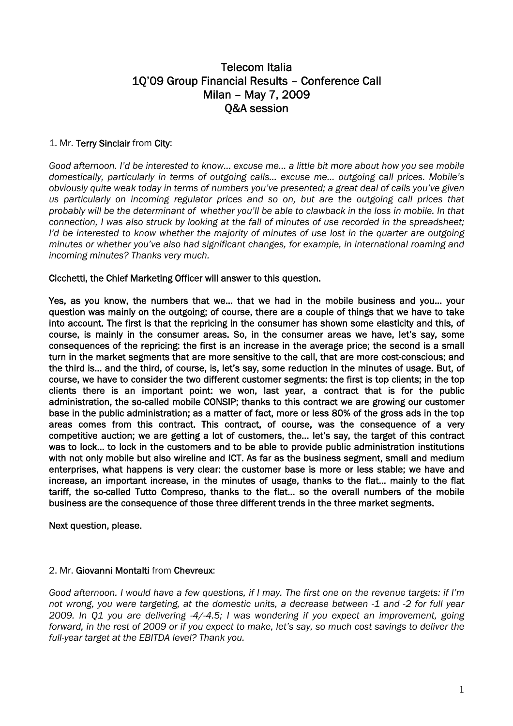# Telecom Italia 1Q'09 Group Financial Results – Conference Call Milan – May 7, 2009 Q&A session

## 1. Mr. Terry Sinclair from City:

*Good afternoon. I'd be interested to know… excuse me… a little bit more about how you see mobile domestically, particularly in terms of outgoing calls… excuse me… outgoing call prices. Mobile's obviously quite weak today in terms of numbers you've presented; a great deal of calls you've given us particularly on incoming regulator prices and so on, but are the outgoing call prices that probably will be the determinant of whether you'll be able to clawback in the loss in mobile. In that connection, I was also struck by looking at the fall of minutes of use recorded in the spreadsheet; I'd be interested to know whether the majority of minutes of use lost in the quarter are outgoing minutes or whether you've also had significant changes, for example, in international roaming and incoming minutes? Thanks very much.* 

### Cicchetti, the Chief Marketing Officer will answer to this question.

Yes, as you know, the numbers that we… that we had in the mobile business and you… your question was mainly on the outgoing; of course, there are a couple of things that we have to take into account. The first is that the repricing in the consumer has shown some elasticity and this, of course, is mainly in the consumer areas. So, in the consumer areas we have, let's say, some consequences of the repricing: the first is an increase in the average price; the second is a small turn in the market segments that are more sensitive to the call, that are more cost-conscious; and the third is… and the third, of course, is, let's say, some reduction in the minutes of usage. But, of course, we have to consider the two different customer segments: the first is top clients; in the top clients there is an important point: we won, last year, a contract that is for the public administration, the so-called mobile CONSIP; thanks to this contract we are growing our customer base in the public administration; as a matter of fact, more or less 80% of the gross ads in the top areas comes from this contract. This contract, of course, was the consequence of a very competitive auction; we are getting a lot of customers, the… let's say, the target of this contract was to lock… to lock in the customers and to be able to provide public administration institutions with not only mobile but also wireline and ICT. As far as the business segment, small and medium enterprises, what happens is very clear: the customer base is more or less stable; we have and increase, an important increase, in the minutes of usage, thanks to the flat… mainly to the flat tariff, the so-called Tutto Compreso, thanks to the flat… so the overall numbers of the mobile business are the consequence of those three different trends in the three market segments.

Next question, please.

### 2. Mr. Giovanni Montalti from Chevreux:

*Good afternoon. I would have a few questions, if I may. The first one on the revenue targets: if I'm not wrong, you were targeting, at the domestic units, a decrease between -1 and -2 for full year 2009. In Q1 you are delivering -4/-4.5; I was wondering if you expect an improvement, going forward, in the rest of 2009 or if you expect to make, let's say, so much cost savings to deliver the full-year target at the EBITDA level? Thank you.*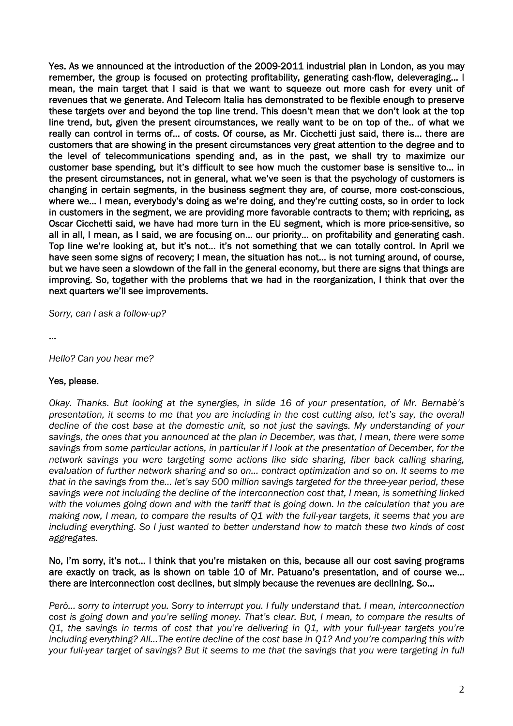Yes. As we announced at the introduction of the 2009-2011 industrial plan in London, as you may remember, the group is focused on protecting profitability, generating cash-flow, deleveraging… I mean, the main target that I said is that we want to squeeze out more cash for every unit of revenues that we generate. And Telecom Italia has demonstrated to be flexible enough to preserve these targets over and beyond the top line trend. This doesn't mean that we don't look at the top line trend, but, given the present circumstances, we really want to be on top of the.. of what we really can control in terms of… of costs. Of course, as Mr. Cicchetti just said, there is… there are customers that are showing in the present circumstances very great attention to the degree and to the level of telecommunications spending and, as in the past, we shall try to maximize our customer base spending, but it's difficult to see how much the customer base is sensitive to… in the present circumstances, not in general, what we've seen is that the psychology of customers is changing in certain segments, in the business segment they are, of course, more cost-conscious, where we… I mean, everybody's doing as we're doing, and they're cutting costs, so in order to lock in customers in the segment, we are providing more favorable contracts to them; with repricing, as Oscar Cicchetti said, we have had more turn in the EU segment, which is more price-sensitive, so all in all, I mean, as I said, we are focusing on… our priority… on profitability and generating cash. Top line we're looking at, but it's not… it's not something that we can totally control. In April we have seen some signs of recovery; I mean, the situation has not… is not turning around, of course, but we have seen a slowdown of the fall in the general economy, but there are signs that things are improving. So, together with the problems that we had in the reorganization, I think that over the next quarters we'll see improvements.

*Sorry, can I ask a follow-up?* 

…

*Hello? Can you hear me?* 

### Yes, please.

*Okay. Thanks. But looking at the synergies, in slide 16 of your presentation, of Mr. Bernabè's presentation, it seems to me that you are including in the cost cutting also, let's say, the overall decline of the cost base at the domestic unit, so not just the savings. My understanding of your savings, the ones that you announced at the plan in December, was that, I mean, there were some savings from some particular actions, in particular if I look at the presentation of December, for the network savings you were targeting some actions like side sharing, fiber back calling sharing, evaluation of further network sharing and so on… contract optimization and so on. It seems to me that in the savings from the… let's say 500 million savings targeted for the three-year period, these savings were not including the decline of the interconnection cost that, I mean, is something linked with the volumes going down and with the tariff that is going down. In the calculation that you are making now, I mean, to compare the results of Q1 with the full-year targets, it seems that you are including everything. So I just wanted to better understand how to match these two kinds of cost aggregates.* 

#### No, I'm sorry, it's not… I think that you're mistaken on this, because all our cost saving programs are exactly on track, as is shown on table 10 of Mr. Patuano's presentation, and of course we… there are interconnection cost declines, but simply because the revenues are declining. So…

*Però… sorry to interrupt you. Sorry to interrupt you. I fully understand that. I mean, interconnection cost is going down and you're selling money. That's clear. But, I mean, to compare the results of Q1, the savings in terms of cost that you're delivering in Q1, with your full-year targets you're including everything? All…The entire decline of the cost base in Q1? And you're comparing this with your full-year target of savings? But it seems to me that the savings that you were targeting in full*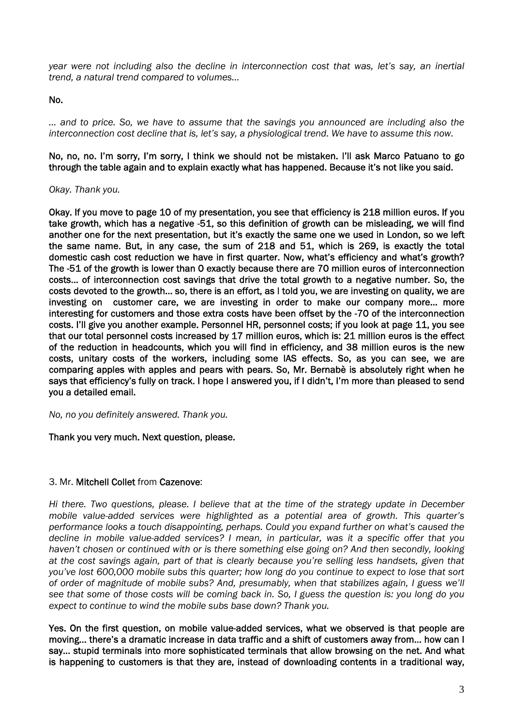*year were not including also the decline in interconnection cost that was, let's say, an inertial trend, a natural trend compared to volumes…* 

### No.

*… and to price. So, we have to assume that the savings you announced are including also the interconnection cost decline that is, let's say, a physiological trend. We have to assume this now.* 

No, no, no. I'm sorry, I'm sorry, I think we should not be mistaken. I'll ask Marco Patuano to go through the table again and to explain exactly what has happened. Because it's not like you said.

### *Okay. Thank you.*

Okay. If you move to page 10 of my presentation, you see that efficiency is 218 million euros. If you take growth, which has a negative -51, so this definition of growth can be misleading, we will find another one for the next presentation, but it's exactly the same one we used in London, so we left the same name. But, in any case, the sum of 218 and 51, which is 269, is exactly the total domestic cash cost reduction we have in first quarter. Now, what's efficiency and what's growth? The -51 of the growth is lower than 0 exactly because there are 70 million euros of interconnection costs… of interconnection cost savings that drive the total growth to a negative number. So, the costs devoted to the growth… so, there is an effort, as I told you, we are investing on quality, we are investing on customer care, we are investing in order to make our company more… more interesting for customers and those extra costs have been offset by the -70 of the interconnection costs. I'll give you another example. Personnel HR, personnel costs; if you look at page 11, you see that our total personnel costs increased by 17 million euros, which is: 21 million euros is the effect of the reduction in headcounts, which you will find in efficiency, and 38 million euros is the new costs, unitary costs of the workers, including some IAS effects. So, as you can see, we are comparing apples with apples and pears with pears. So, Mr. Bernabè is absolutely right when he says that efficiency's fully on track. I hope I answered you, if I didn't, I'm more than pleased to send you a detailed email.

*No, no you definitely answered. Thank you.* 

### Thank you very much. Next question, please.

### 3. Mr. Mitchell Collet from Cazenove:

*Hi there. Two questions, please. I believe that at the time of the strategy update in December mobile value-added services were highlighted as a potential area of growth. This quarter's performance looks a touch disappointing, perhaps. Could you expand further on what's caused the decline in mobile value-added services? I mean, in particular, was it a specific offer that you haven't chosen or continued with or is there something else going on? And then secondly, looking at the cost savings again, part of that is clearly because you're selling less handsets, given that you've lost 600,000 mobile subs this quarter; how long do you continue to expect to lose that sort of order of magnitude of mobile subs? And, presumably, when that stabilizes again, I guess we'll see that some of those costs will be coming back in. So, I guess the question is: you long do you expect to continue to wind the mobile subs base down? Thank you.* 

Yes. On the first question, on mobile value-added services, what we observed is that people are moving… there's a dramatic increase in data traffic and a shift of customers away from… how can I say… stupid terminals into more sophisticated terminals that allow browsing on the net. And what is happening to customers is that they are, instead of downloading contents in a traditional way,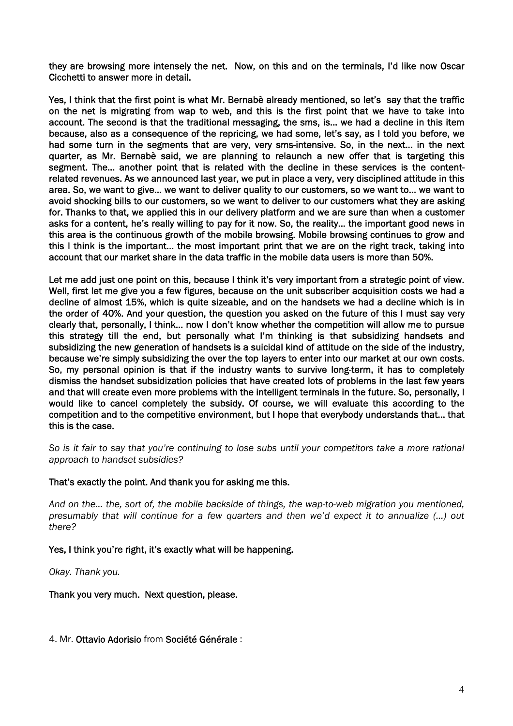they are browsing more intensely the net. Now, on this and on the terminals, I'd like now Oscar Cicchetti to answer more in detail.

Yes, I think that the first point is what Mr. Bernabè already mentioned, so let's say that the traffic on the net is migrating from wap to web, and this is the first point that we have to take into account. The second is that the traditional messaging, the sms, is… we had a decline in this item because, also as a consequence of the repricing, we had some, let's say, as I told you before, we had some turn in the segments that are very, very sms-intensive. So, in the next… in the next quarter, as Mr. Bernabè said, we are planning to relaunch a new offer that is targeting this segment. The… another point that is related with the decline in these services is the contentrelated revenues. As we announced last year, we put in place a very, very disciplined attitude in this area. So, we want to give… we want to deliver quality to our customers, so we want to… we want to avoid shocking bills to our customers, so we want to deliver to our customers what they are asking for. Thanks to that, we applied this in our delivery platform and we are sure than when a customer asks for a content, he's really willing to pay for it now. So, the reality… the important good news in this area is the continuous growth of the mobile browsing. Mobile browsing continues to grow and this I think is the important… the most important print that we are on the right track, taking into account that our market share in the data traffic in the mobile data users is more than 50%.

Let me add just one point on this, because I think it's very important from a strategic point of view. Well, first let me give you a few figures, because on the unit subscriber acquisition costs we had a decline of almost 15%, which is quite sizeable, and on the handsets we had a decline which is in the order of 40%. And your question, the question you asked on the future of this I must say very clearly that, personally, I think… now I don't know whether the competition will allow me to pursue this strategy till the end, but personally what I'm thinking is that subsidizing handsets and subsidizing the new generation of handsets is a suicidal kind of attitude on the side of the industry, because we're simply subsidizing the over the top layers to enter into our market at our own costs. So, my personal opinion is that if the industry wants to survive long-term, it has to completely dismiss the handset subsidization policies that have created lots of problems in the last few years and that will create even more problems with the intelligent terminals in the future. So, personally, I would like to cancel completely the subsidy. Of course, we will evaluate this according to the competition and to the competitive environment, but I hope that everybody understands that… that this is the case.

*So is it fair to say that you're continuing to lose subs until your competitors take a more rational approach to handset subsidies?* 

### That's exactly the point. And thank you for asking me this.

*And on the… the, sort of, the mobile backside of things, the wap-to-web migration you mentioned, presumably that will continue for a few quarters and then we'd expect it to annualize (…) out there?* 

### Yes, I think you're right, it's exactly what will be happening.

*Okay. Thank you.* 

Thank you very much. Next question, please.

4. Mr. Ottavio Adorisio from Société Générale :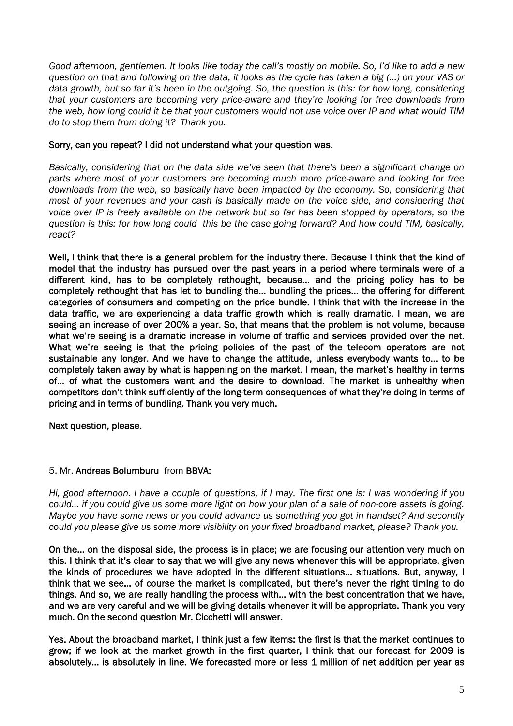*Good afternoon, gentlemen. It looks like today the call's mostly on mobile. So, I'd like to add a new question on that and following on the data, it looks as the cycle has taken a big (…) on your VAS or data growth, but so far it's been in the outgoing. So, the question is this: for how long, considering that your customers are becoming very price-aware and they're looking for free downloads from the web, how long could it be that your customers would not use voice over IP and what would TIM do to stop them from doing it? Thank you.* 

### Sorry, can you repeat? I did not understand what your question was.

*Basically, considering that on the data side we've seen that there's been a significant change on parts where most of your customers are becoming much more price-aware and looking for free downloads from the web, so basically have been impacted by the economy. So, considering that most of your revenues and your cash is basically made on the voice side, and considering that voice over IP is freely available on the network but so far has been stopped by operators, so the question is this: for how long could this be the case going forward? And how could TIM, basically, react?* 

Well, I think that there is a general problem for the industry there. Because I think that the kind of model that the industry has pursued over the past years in a period where terminals were of a different kind, has to be completely rethought, because… and the pricing policy has to be completely rethought that has let to bundling the… bundling the prices… the offering for different categories of consumers and competing on the price bundle. I think that with the increase in the data traffic, we are experiencing a data traffic growth which is really dramatic. I mean, we are seeing an increase of over 200% a year. So, that means that the problem is not volume, because what we're seeing is a dramatic increase in volume of traffic and services provided over the net. What we're seeing is that the pricing policies of the past of the telecom operators are not sustainable any longer. And we have to change the attitude, unless everybody wants to… to be completely taken away by what is happening on the market. I mean, the market's healthy in terms of… of what the customers want and the desire to download. The market is unhealthy when competitors don't think sufficiently of the long-term consequences of what they're doing in terms of pricing and in terms of bundling. Thank you very much.

Next question, please.

## 5. Mr. Andreas Bolumburu from BBVA:

*Hi, good afternoon. I have a couple of questions, if I may. The first one is: I was wondering if you could… if you could give us some more light on how your plan of a sale of non-core assets is going. Maybe you have some news or you could advance us something you got in handset? And secondly could you please give us some more visibility on your fixed broadband market, please? Thank you.* 

On the… on the disposal side, the process is in place; we are focusing our attention very much on this. I think that it's clear to say that we will give any news whenever this will be appropriate, given the kinds of procedures we have adopted in the different situations… situations. But, anyway, I think that we see… of course the market is complicated, but there's never the right timing to do things. And so, we are really handling the process with… with the best concentration that we have, and we are very careful and we will be giving details whenever it will be appropriate. Thank you very much. On the second question Mr. Cicchetti will answer.

Yes. About the broadband market, I think just a few items: the first is that the market continues to grow; if we look at the market growth in the first quarter, I think that our forecast for 2009 is absolutely... is absolutely in line. We forecasted more or less 1 million of net addition per year as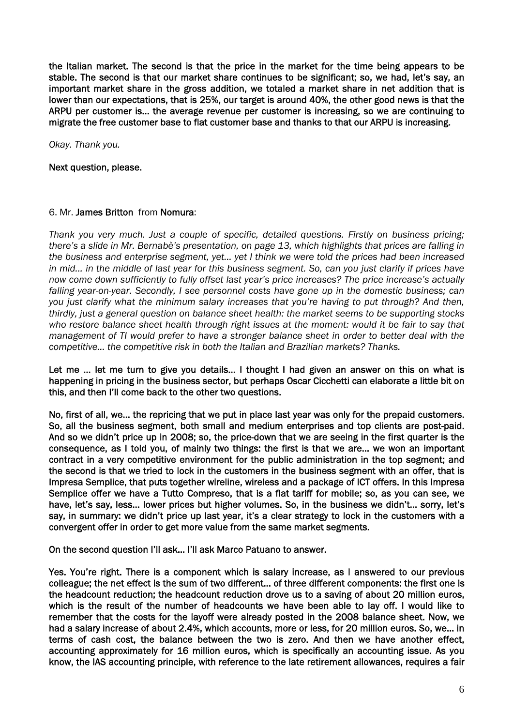the Italian market. The second is that the price in the market for the time being appears to be stable. The second is that our market share continues to be significant; so, we had, let's say, an important market share in the gross addition, we totaled a market share in net addition that is lower than our expectations, that is 25%, our target is around 40%, the other good news is that the ARPU per customer is… the average revenue per customer is increasing, so we are continuing to migrate the free customer base to flat customer base and thanks to that our ARPU is increasing.

*Okay. Thank you.* 

Next question, please.

### 6. Mr. James Britton from Nomura:

*Thank you very much. Just a couple of specific, detailed questions. Firstly on business pricing; there's a slide in Mr. Bernabè's presentation, on page 13, which highlights that prices are falling in the business and enterprise segment, yet… yet I think we were told the prices had been increased in mid… in the middle of last year for this business segment. So, can you just clarify if prices have now come down sufficiently to fully offset last year's price increases? The price increase's actually falling year-on-year. Secondly, I see personnel costs have gone up in the domestic business; can you just clarify what the minimum salary increases that you're having to put through? And then, thirdly, just a general question on balance sheet health: the market seems to be supporting stocks who restore balance sheet health through right issues at the moment: would it be fair to say that management of TI would prefer to have a stronger balance sheet in order to better deal with the competitive… the competitive risk in both the Italian and Brazilian markets? Thanks.* 

Let me ... let me turn to give you details... I thought I had given an answer on this on what is happening in pricing in the business sector, but perhaps Oscar Cicchetti can elaborate a little bit on this, and then I'll come back to the other two questions.

No, first of all, we… the repricing that we put in place last year was only for the prepaid customers. So, all the business segment, both small and medium enterprises and top clients are post-paid. And so we didn't price up in 2008; so, the price-down that we are seeing in the first quarter is the consequence, as I told you, of mainly two things: the first is that we are… we won an important contract in a very competitive environment for the public administration in the top segment; and the second is that we tried to lock in the customers in the business segment with an offer, that is Impresa Semplice, that puts together wireline, wireless and a package of ICT offers. In this Impresa Semplice offer we have a Tutto Compreso, that is a flat tariff for mobile; so, as you can see, we have, let's say, less… lower prices but higher volumes. So, in the business we didn't… sorry, let's say, in summary: we didn't price up last year, it's a clear strategy to lock in the customers with a convergent offer in order to get more value from the same market segments.

On the second question I'll ask… I'll ask Marco Patuano to answer.

Yes. You're right. There is a component which is salary increase, as I answered to our previous colleague; the net effect is the sum of two different… of three different components: the first one is the headcount reduction; the headcount reduction drove us to a saving of about 20 million euros, which is the result of the number of headcounts we have been able to lay off. I would like to remember that the costs for the layoff were already posted in the 2008 balance sheet. Now, we had a salary increase of about 2.4%, which accounts, more or less, for 20 million euros. So, we… in terms of cash cost, the balance between the two is zero. And then we have another effect, accounting approximately for 16 million euros, which is specifically an accounting issue. As you know, the IAS accounting principle, with reference to the late retirement allowances, requires a fair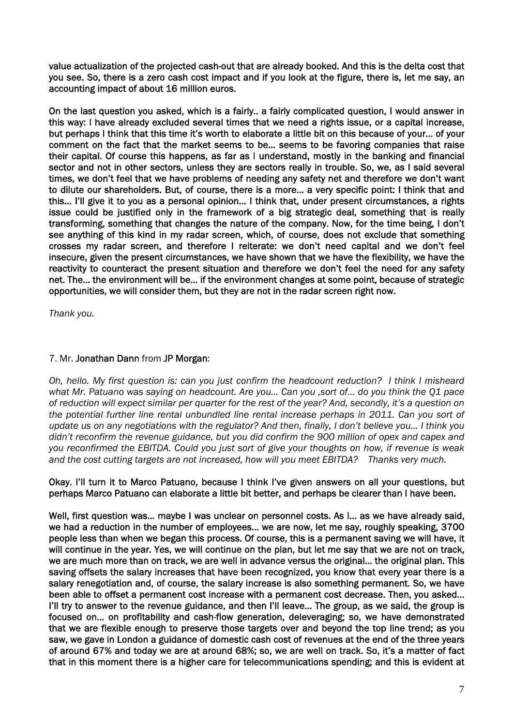value actualization of the projected cash-out that are already booked. And this is the delta cost that you see. So, there is a zero cash cost impact and if you look at the figure, there is, let me say, an accounting impact of about 16 million euros.

On the last question you asked, which is a fairly.. a fairly complicated question, I would answer in this way: I have already excluded several times that we need a rights issue, or a capital increase, but perhaps I think that this time it's worth to elaborate a little bit on this because of your… of your comment on the fact that the market seems to be… seems to be favoring companies that raise their capital. Of course this happens, as far as I understand, mostly in the banking and financial sector and not in other sectors, unless they are sectors really in trouble. So, we, as I said several times, we don't feel that we have problems of needing any safety net and therefore we don't want to dilute our shareholders. But, of course, there is a more… a very specific point: I think that and this… I'll give it to you as a personal opinion… I think that, under present circumstances, a rights issue could be justified only in the framework of a big strategic deal, something that is really transforming, something that changes the nature of the company. Now, for the time being, I don't see anything of this kind in my radar screen, which, of course, does not exclude that something crosses my radar screen, and therefore I reiterate: we don't need capital and we don't feel insecure, given the present circumstances, we have shown that we have the flexibility, we have the reactivity to counteract the present situation and therefore we don't feel the need for any safety net. The… the environment will be… if the environment changes at some point, because of strategic opportunities, we will consider them, but they are not in the radar screen right now.

*Thank you.* 

### 7. Mr. Jonathan Dann from JP Morgan:

*Oh, hello. My first question is: can you just confirm the headcount reduction? I think I misheard what Mr. Patuano was saying on headcount. Are you… Can you ,sort of… do you think the Q1 pace of reduction will expect similar per quarter for the rest of the year? And, secondly, it's a question on the potential further line rental unbundled line rental increase perhaps in 2011. Can you sort of update us on any negotiations with the regulator? And then, finally, I don't believe you… I think you didn't reconfirm the revenue guidance, but you did confirm the 900 million of opex and capex and you reconfirmed the EBITDA. Could you just sort of give your thoughts on how, if revenue is weak and the cost cutting targets are not increased, how will you meet EBITDA? Thanks very much.* 

#### Okay. I'll turn it to Marco Patuano, because I think I've given answers on all your questions, but perhaps Marco Patuano can elaborate a little bit better, and perhaps be clearer than I have been.

Well, first question was… maybe I was unclear on personnel costs. As I… as we have already said, we had a reduction in the number of employees… we are now, let me say, roughly speaking, 3700 people less than when we began this process. Of course, this is a permanent saving we will have, it will continue in the year. Yes, we will continue on the plan, but let me say that we are not on track, we are much more than on track, we are well in advance versus the original… the original plan. This saving offsets the salary increases that have been recognized, you know that every year there is a salary renegotiation and, of course, the salary increase is also something permanent. So, we have been able to offset a permanent cost increase with a permanent cost decrease. Then, you asked… I'll try to answer to the revenue guidance, and then I'll leave... The group, as we said, the group is focused on… on profitability and cash-flow generation, deleveraging; so, we have demonstrated that we are flexible enough to preserve those targets over and beyond the top line trend; as you saw, we gave in London a guidance of domestic cash cost of revenues at the end of the three years of around 67% and today we are at around 68%; so, we are well on track. So, it's a matter of fact that in this moment there is a higher care for telecommunications spending; and this is evident at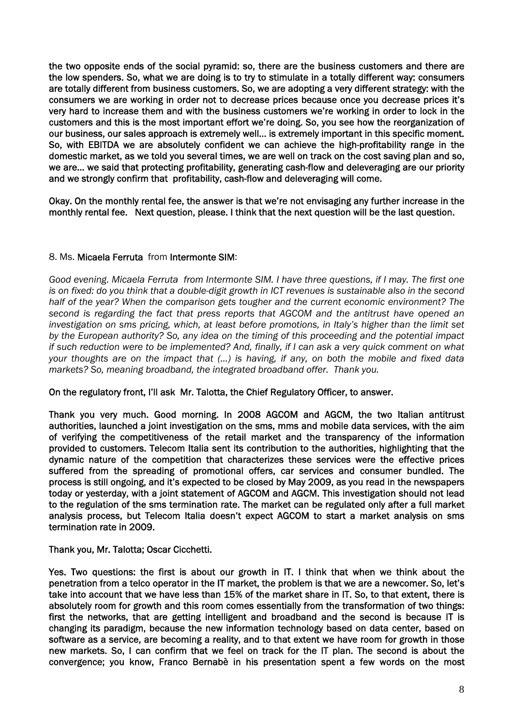the two opposite ends of the social pyramid: so, there are the business customers and there are the low spenders. So, what we are doing is to try to stimulate in a totally different way: consumers are totally different from business customers. So, we are adopting a very different strategy: with the consumers we are working in order not to decrease prices because once you decrease prices it's very hard to increase them and with the business customers we're working in order to lock in the customers and this is the most important effort we're doing. So, you see how the reorganization of our business, our sales approach is extremely well… is extremely important in this specific moment. So, with EBITDA we are absolutely confident we can achieve the high-profitability range in the domestic market, as we told you several times, we are well on track on the cost saving plan and so, we are… we said that protecting profitability, generating cash-flow and deleveraging are our priority and we strongly confirm that profitability, cash-flow and deleveraging will come.

Okay. On the monthly rental fee, the answer is that we're not envisaging any further increase in the monthly rental fee. Next question, please. I think that the next question will be the last question.

### 8. Ms. Micaela Ferruta from Intermonte SIM:

*Good evening. Micaela Ferruta from Intermonte SIM. I have three questions, if I may. The first one is on fixed: do you think that a double-digit growth in ICT revenues is sustainable also in the second half of the year? When the comparison gets tougher and the current economic environment? The second is regarding the fact that press reports that AGCOM and the antitrust have opened an investigation on sms pricing, which, at least before promotions, in Italy's higher than the limit set by the European authority? So, any idea on the timing of this proceeding and the potential impact if such reduction were to be implemented? And, finally, if I can ask a very quick comment on what your thoughts are on the impact that (…) is having, if any, on both the mobile and fixed data markets? So, meaning broadband, the integrated broadband offer. Thank you.* 

#### On the regulatory front, I'll ask Mr. Talotta, the Chief Regulatory Officer, to answer.

Thank you very much. Good morning. In 2008 AGCOM and AGCM, the two Italian antitrust authorities, launched a joint investigation on the sms, mms and mobile data services, with the aim of verifying the competitiveness of the retail market and the transparency of the information provided to customers. Telecom Italia sent its contribution to the authorities, highlighting that the dynamic nature of the competition that characterizes these services were the effective prices suffered from the spreading of promotional offers, car services and consumer bundled. The process is still ongoing, and it's expected to be closed by May 2009, as you read in the newspapers today or yesterday, with a joint statement of AGCOM and AGCM. This investigation should not lead to the regulation of the sms termination rate. The market can be regulated only after a full market analysis process, but Telecom Italia doesn't expect AGCOM to start a market analysis on sms termination rate in 2009.

Thank you, Mr. Talotta; Oscar Cicchetti.

Yes. Two questions: the first is about our growth in IT. I think that when we think about the penetration from a telco operator in the IT market, the problem is that we are a newcomer. So, let's take into account that we have less than 15% of the market share in IT. So, to that extent, there is absolutely room for growth and this room comes essentially from the transformation of two things: first the networks, that are getting intelligent and broadband and the second is because IT is changing its paradigm, because the new information technology based on data center, based on software as a service, are becoming a reality, and to that extent we have room for growth in those new markets. So, I can confirm that we feel on track for the IT plan. The second is about the convergence; you know, Franco Bernabè in his presentation spent a few words on the most